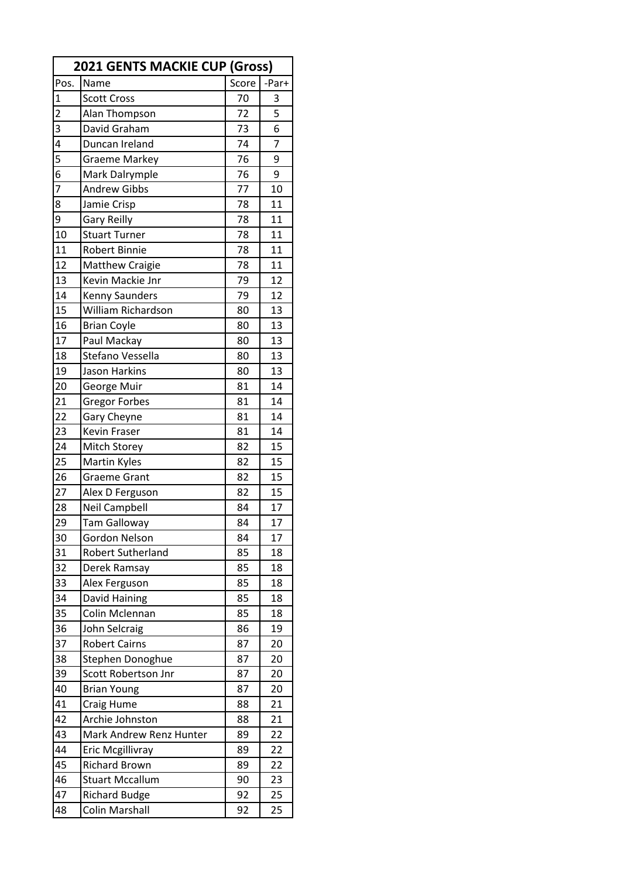| <b>2021 GENTS MACKIE CUP (Gross)</b> |                          |       |                |  |
|--------------------------------------|--------------------------|-------|----------------|--|
| Pos.                                 | Name                     | Score | -Par+          |  |
| $\mathbf{1}$                         | <b>Scott Cross</b>       | 70    | 3              |  |
| $\overline{a}$                       | Alan Thompson            | 72    | $\overline{5}$ |  |
| 3                                    | David Graham             | 73    | 6              |  |
| 4                                    | Duncan Ireland           | 74    | $\overline{7}$ |  |
| 5                                    | <b>Graeme Markey</b>     | 76    | 9              |  |
| 6                                    | Mark Dalrymple           | 76    | 9              |  |
| 7                                    | <b>Andrew Gibbs</b>      | 77    | 10             |  |
| 8                                    | Jamie Crisp              | 78    | 11             |  |
| 9                                    | <b>Gary Reilly</b>       | 78    | 11             |  |
| 10                                   | <b>Stuart Turner</b>     | 78    | 11             |  |
| 11                                   | <b>Robert Binnie</b>     | 78    | 11             |  |
| 12                                   | <b>Matthew Craigie</b>   | 78    | 11             |  |
| 13                                   | Kevin Mackie Jnr         | 79    | 12             |  |
| 14                                   | Kenny Saunders           | 79    | 12             |  |
| 15                                   | William Richardson       | 80    | 13             |  |
| 16                                   | <b>Brian Coyle</b>       | 80    | 13             |  |
| 17                                   | Paul Mackay              | 80    | 13             |  |
| 18                                   | Stefano Vessella         | 80    | 13             |  |
| 19                                   | Jason Harkins            | 80    | 13             |  |
| 20                                   | George Muir              | 81    | 14             |  |
| 21                                   | <b>Gregor Forbes</b>     | 81    | 14             |  |
| 22                                   | Gary Cheyne              | 81    | 14             |  |
| 23                                   | Kevin Fraser             | 81    | 14             |  |
| 24                                   | Mitch Storey             | 82    | 15             |  |
| 25                                   | <b>Martin Kyles</b>      | 82    | 15             |  |
| 26                                   | <b>Graeme Grant</b>      | 82    | 15             |  |
| 27                                   | Alex D Ferguson          | 82    | 15             |  |
| 28                                   | <b>Neil Campbell</b>     | 84    | 17             |  |
| 29                                   | <b>Tam Galloway</b>      | 84    | 17             |  |
| 30                                   | Gordon Nelson            | 84    | 17             |  |
| 31                                   | <b>Robert Sutherland</b> | 85    | 18             |  |
| 32                                   | Derek Ramsay             | 85    | 18             |  |
| 33                                   | Alex Ferguson            | 85    | 18             |  |
| 34                                   | David Haining            | 85    | 18             |  |
| 35                                   | Colin Mclennan           | 85    | 18             |  |
| 36                                   | John Selcraig            | 86    | 19             |  |
| 37                                   | <b>Robert Cairns</b>     | 87    | 20             |  |
| 38                                   | Stephen Donoghue         | 87    | 20             |  |
| 39                                   | Scott Robertson Jnr      | 87    | 20             |  |
| 40                                   | <b>Brian Young</b>       | 87    | 20             |  |
| 41                                   | Craig Hume               | 88    | 21             |  |
| 42                                   | Archie Johnston          | 88    | 21             |  |
| 43                                   | Mark Andrew Renz Hunter  | 89    | 22             |  |
| 44                                   | Eric Mcgillivray         | 89    | 22             |  |
| 45                                   | <b>Richard Brown</b>     | 89    | 22             |  |
| 46                                   | <b>Stuart Mccallum</b>   | 90    | 23             |  |
| 47                                   | <b>Richard Budge</b>     | 92    | 25             |  |
| 48                                   | <b>Colin Marshall</b>    | 92    | 25             |  |